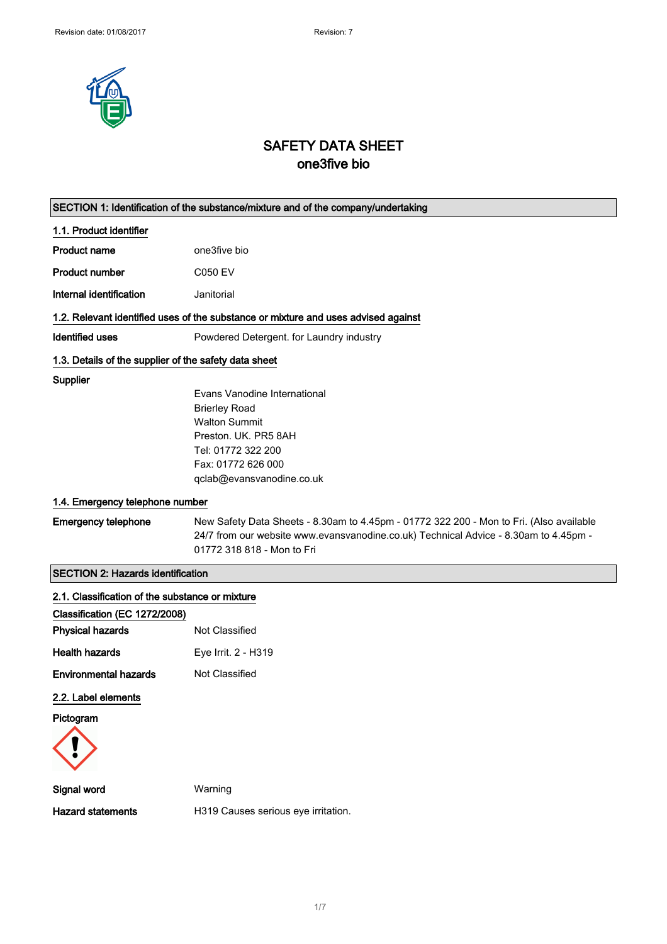

# SAFETY DATA SHEET one3five bio

|                                                       | SECTION 1: Identification of the substance/mixture and of the company/undertaking       |
|-------------------------------------------------------|-----------------------------------------------------------------------------------------|
| 1.1. Product identifier                               |                                                                                         |
| <b>Product name</b>                                   | one3five bio                                                                            |
| <b>Product number</b>                                 | <b>C050 EV</b>                                                                          |
| Internal identification                               | Janitorial                                                                              |
|                                                       | 1.2. Relevant identified uses of the substance or mixture and uses advised against      |
| <b>Identified uses</b>                                | Powdered Detergent. for Laundry industry                                                |
| 1.3. Details of the supplier of the safety data sheet |                                                                                         |
| Supplier                                              |                                                                                         |
|                                                       | Evans Vanodine International                                                            |
|                                                       | <b>Brierley Road</b>                                                                    |
|                                                       | <b>Walton Summit</b>                                                                    |
|                                                       | Preston, UK. PR5 8AH                                                                    |
|                                                       | Tel: 01772 322 200                                                                      |
|                                                       | Fax: 01772 626 000<br>qclab@evansvanodine.co.uk                                         |
|                                                       |                                                                                         |
| 1.4. Emergency telephone number                       |                                                                                         |
| <b>Emergency telephone</b>                            | New Safety Data Sheets - 8.30am to 4.45pm - 01772 322 200 - Mon to Fri. (Also available |
|                                                       | 24/7 from our website www.evansvanodine.co.uk) Technical Advice - 8.30am to 4.45pm -    |
|                                                       | 01772 318 818 - Mon to Fri                                                              |
| <b>SECTION 2: Hazards identification</b>              |                                                                                         |
| 2.1. Classification of the substance or mixture       |                                                                                         |
| Classification (EC 1272/2008)                         |                                                                                         |
| <b>Physical hazards</b>                               | Not Classified                                                                          |
| <b>Health hazards</b>                                 | Eye Irrit. 2 - H319                                                                     |
| <b>Environmental hazards</b>                          | Not Classified                                                                          |
| 2.2. Label elements                                   |                                                                                         |
| Pictogram                                             |                                                                                         |
|                                                       |                                                                                         |
|                                                       |                                                                                         |
| Signal word                                           | Warning                                                                                 |
| <b>Hazard statements</b>                              | H319 Causes serious eye irritation.                                                     |
|                                                       |                                                                                         |
|                                                       |                                                                                         |
|                                                       |                                                                                         |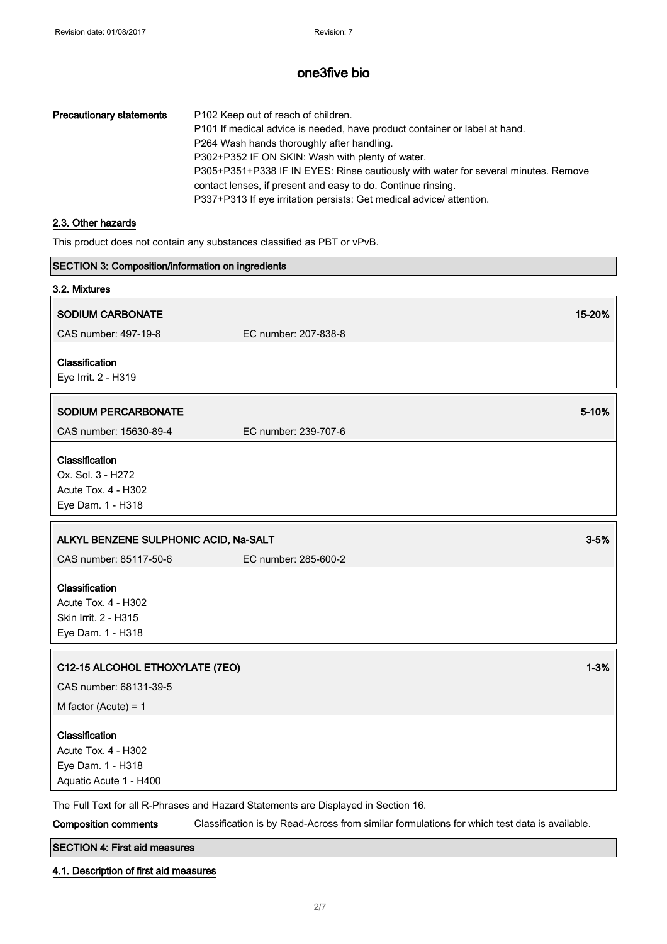| P102 Keep out of reach of children.                                                |
|------------------------------------------------------------------------------------|
| P101 If medical advice is needed, have product container or label at hand.         |
| P264 Wash hands thoroughly after handling.                                         |
| P302+P352 IF ON SKIN: Wash with plenty of water.                                   |
| P305+P351+P338 IF IN EYES: Rinse cautiously with water for several minutes. Remove |
| contact lenses, if present and easy to do. Continue rinsing.                       |
| P337+P313 If eye irritation persists: Get medical advice/attention.                |
|                                                                                    |

## 2.3. Other hazards

This product does not contain any substances classified as PBT or vPvB.

| SECTION 3: Composition/information on ingredients                                           |                                                                                              |          |
|---------------------------------------------------------------------------------------------|----------------------------------------------------------------------------------------------|----------|
| 3.2. Mixtures                                                                               |                                                                                              |          |
| <b>SODIUM CARBONATE</b>                                                                     |                                                                                              | 15-20%   |
| CAS number: 497-19-8                                                                        | EC number: 207-838-8                                                                         |          |
| Classification<br>Eye Irrit. 2 - H319                                                       |                                                                                              |          |
| <b>SODIUM PERCARBONATE</b>                                                                  |                                                                                              | 5-10%    |
| CAS number: 15630-89-4                                                                      | EC number: 239-707-6                                                                         |          |
| Classification<br>Ox. Sol. 3 - H272<br>Acute Tox. 4 - H302<br>Eye Dam. 1 - H318             |                                                                                              |          |
| ALKYL BENZENE SULPHONIC ACID, Na-SALT                                                       |                                                                                              | $3 - 5%$ |
| CAS number: 85117-50-6                                                                      | EC number: 285-600-2                                                                         |          |
| Classification<br>Acute Tox. 4 - H302<br>Skin Irrit. 2 - H315<br>Eye Dam. 1 - H318          |                                                                                              |          |
| C12-15 ALCOHOL ETHOXYLATE (7EO)                                                             |                                                                                              | $1 - 3%$ |
| CAS number: 68131-39-5                                                                      |                                                                                              |          |
| M factor (Acute) = $1$                                                                      |                                                                                              |          |
| Classification<br><b>Acute Tox. 4 - H302</b><br>Eye Dam. 1 - H318<br>Aquatic Acute 1 - H400 |                                                                                              |          |
|                                                                                             | The Full Text for all R-Phrases and Hazard Statements are Displayed in Section 16.           |          |
| <b>Composition comments</b>                                                                 | Classification is by Read-Across from similar formulations for which test data is available. |          |

# SECTION 4: First aid measures

4.1. Description of first aid measures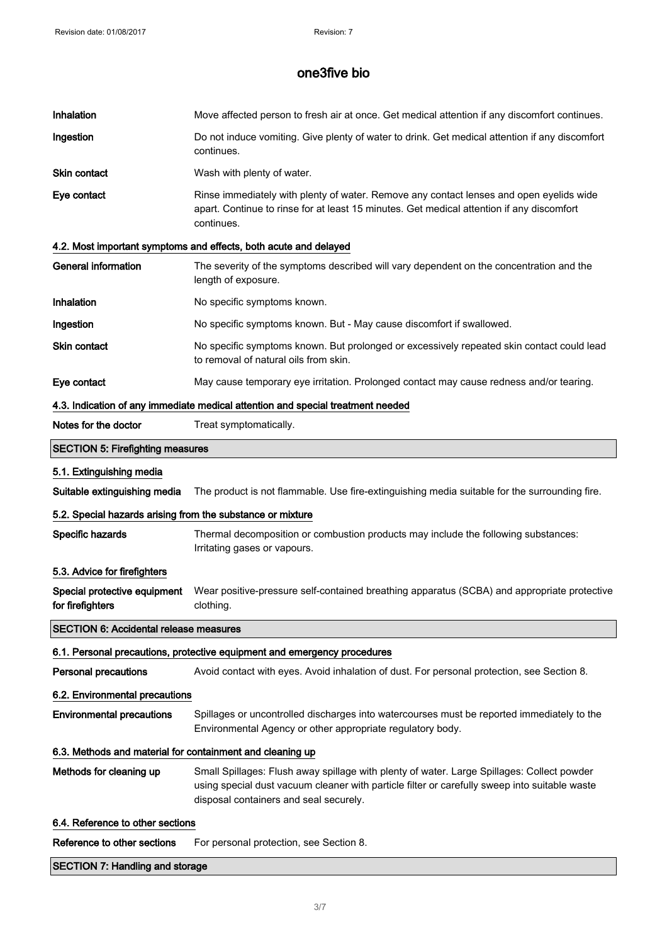| Inhalation                                                 | Move affected person to fresh air at once. Get medical attention if any discomfort continues.                                                                                                                                         |
|------------------------------------------------------------|---------------------------------------------------------------------------------------------------------------------------------------------------------------------------------------------------------------------------------------|
| Ingestion                                                  | Do not induce vomiting. Give plenty of water to drink. Get medical attention if any discomfort<br>continues.                                                                                                                          |
| <b>Skin contact</b>                                        | Wash with plenty of water.                                                                                                                                                                                                            |
| Eye contact                                                | Rinse immediately with plenty of water. Remove any contact lenses and open eyelids wide<br>apart. Continue to rinse for at least 15 minutes. Get medical attention if any discomfort<br>continues.                                    |
|                                                            | 4.2. Most important symptoms and effects, both acute and delayed                                                                                                                                                                      |
| <b>General information</b>                                 | The severity of the symptoms described will vary dependent on the concentration and the<br>length of exposure.                                                                                                                        |
| <b>Inhalation</b>                                          | No specific symptoms known.                                                                                                                                                                                                           |
| Ingestion                                                  | No specific symptoms known. But - May cause discomfort if swallowed.                                                                                                                                                                  |
| Skin contact                                               | No specific symptoms known. But prolonged or excessively repeated skin contact could lead<br>to removal of natural oils from skin.                                                                                                    |
| Eye contact                                                | May cause temporary eye irritation. Prolonged contact may cause redness and/or tearing.                                                                                                                                               |
|                                                            | 4.3. Indication of any immediate medical attention and special treatment needed                                                                                                                                                       |
| Notes for the doctor                                       | Treat symptomatically.                                                                                                                                                                                                                |
| <b>SECTION 5: Firefighting measures</b>                    |                                                                                                                                                                                                                                       |
| 5.1. Extinguishing media                                   |                                                                                                                                                                                                                                       |
| Suitable extinguishing media                               | The product is not flammable. Use fire-extinguishing media suitable for the surrounding fire.                                                                                                                                         |
| 5.2. Special hazards arising from the substance or mixture |                                                                                                                                                                                                                                       |
| Specific hazards                                           | Thermal decomposition or combustion products may include the following substances:<br>Irritating gases or vapours.                                                                                                                    |
| 5.3. Advice for firefighters                               |                                                                                                                                                                                                                                       |
| Special protective equipment<br>for firefighters           | Wear positive-pressure self-contained breathing apparatus (SCBA) and appropriate protective<br>clothing.                                                                                                                              |
| <b>SECTION 6: Accidental release measures</b>              |                                                                                                                                                                                                                                       |
|                                                            | 6.1. Personal precautions, protective equipment and emergency procedures                                                                                                                                                              |
| <b>Personal precautions</b>                                | Avoid contact with eyes. Avoid inhalation of dust. For personal protection, see Section 8.                                                                                                                                            |
| 6.2. Environmental precautions                             |                                                                                                                                                                                                                                       |
| <b>Environmental precautions</b>                           | Spillages or uncontrolled discharges into watercourses must be reported immediately to the<br>Environmental Agency or other appropriate regulatory body.                                                                              |
| 6.3. Methods and material for containment and cleaning up  |                                                                                                                                                                                                                                       |
| Methods for cleaning up                                    | Small Spillages: Flush away spillage with plenty of water. Large Spillages: Collect powder<br>using special dust vacuum cleaner with particle filter or carefully sweep into suitable waste<br>disposal containers and seal securely. |
| 6.4. Reference to other sections                           |                                                                                                                                                                                                                                       |
| Reference to other sections                                | For personal protection, see Section 8.                                                                                                                                                                                               |
| <b>SECTION 7: Handling and storage</b>                     |                                                                                                                                                                                                                                       |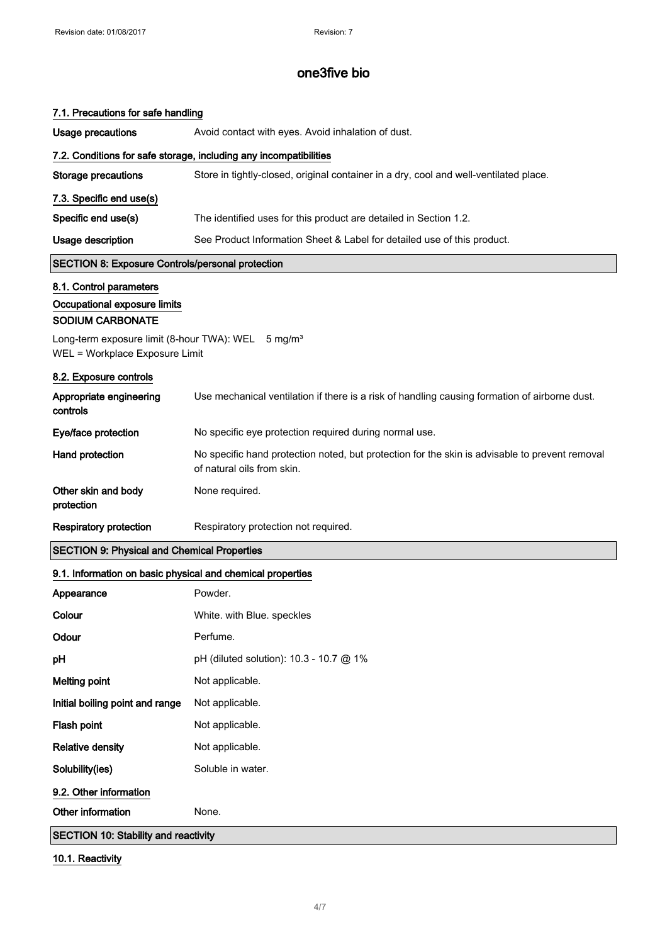| 7.1. Precautions for safe handling                                                               |                                                                                                                              |
|--------------------------------------------------------------------------------------------------|------------------------------------------------------------------------------------------------------------------------------|
| <b>Usage precautions</b>                                                                         | Avoid contact with eyes. Avoid inhalation of dust.                                                                           |
|                                                                                                  | 7.2. Conditions for safe storage, including any incompatibilities                                                            |
| <b>Storage precautions</b>                                                                       | Store in tightly-closed, original container in a dry, cool and well-ventilated place.                                        |
| 7.3. Specific end use(s)                                                                         |                                                                                                                              |
| Specific end use(s)                                                                              | The identified uses for this product are detailed in Section 1.2.                                                            |
| <b>Usage description</b>                                                                         | See Product Information Sheet & Label for detailed use of this product.                                                      |
| <b>SECTION 8: Exposure Controls/personal protection</b>                                          |                                                                                                                              |
| 8.1. Control parameters<br>Occupational exposure limits<br><b>SODIUM CARBONATE</b>               |                                                                                                                              |
| Long-term exposure limit (8-hour TWA): WEL 5 mg/m <sup>3</sup><br>WEL = Workplace Exposure Limit |                                                                                                                              |
| 8.2. Exposure controls                                                                           |                                                                                                                              |
| Appropriate engineering<br>controls                                                              | Use mechanical ventilation if there is a risk of handling causing formation of airborne dust.                                |
| Eye/face protection                                                                              | No specific eye protection required during normal use.                                                                       |
| Hand protection                                                                                  | No specific hand protection noted, but protection for the skin is advisable to prevent removal<br>of natural oils from skin. |
| Other skin and body<br>protection                                                                | None required.                                                                                                               |
| <b>Respiratory protection</b>                                                                    | Respiratory protection not required.                                                                                         |
| <b>SECTION 9: Physical and Chemical Properties</b>                                               |                                                                                                                              |
| 9.1. Information on basic physical and chemical properties                                       |                                                                                                                              |
| Appearance                                                                                       | Powder.                                                                                                                      |
| Colour                                                                                           | White. with Blue. speckles                                                                                                   |
| Odour                                                                                            | Perfume.                                                                                                                     |
| pH                                                                                               | pH (diluted solution): 10.3 - 10.7 @ 1%                                                                                      |
| <b>Melting point</b>                                                                             | Not applicable.                                                                                                              |
| Initial boiling point and range                                                                  | Not applicable.                                                                                                              |
| Flash point                                                                                      | Not applicable.                                                                                                              |
| <b>Relative density</b>                                                                          | Not applicable.                                                                                                              |
| Solubility(ies)                                                                                  | Soluble in water.                                                                                                            |
| 9.2. Other information                                                                           |                                                                                                                              |
| Other information                                                                                | None.                                                                                                                        |
| <b>SECTION 10: Stability and reactivity</b>                                                      |                                                                                                                              |

# 10.1. Reactivity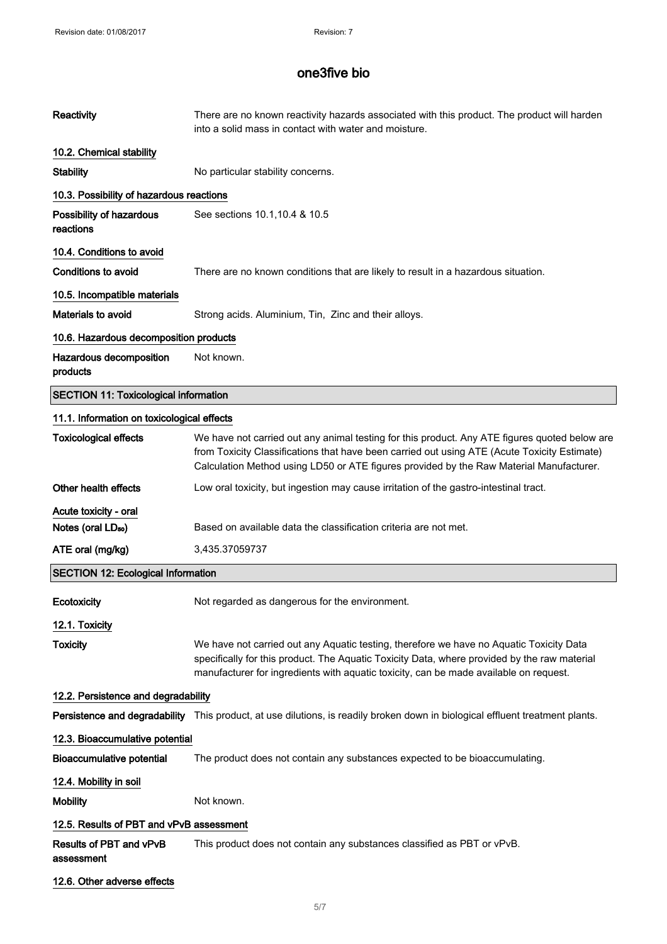| <b>Reactivity</b>                            | There are no known reactivity hazards associated with this product. The product will harden<br>into a solid mass in contact with water and moisture.                                                                                                                                     |
|----------------------------------------------|------------------------------------------------------------------------------------------------------------------------------------------------------------------------------------------------------------------------------------------------------------------------------------------|
| 10.2. Chemical stability                     |                                                                                                                                                                                                                                                                                          |
| <b>Stability</b>                             | No particular stability concerns.                                                                                                                                                                                                                                                        |
| 10.3. Possibility of hazardous reactions     |                                                                                                                                                                                                                                                                                          |
| Possibility of hazardous<br>reactions        | See sections 10.1, 10.4 & 10.5                                                                                                                                                                                                                                                           |
| 10.4. Conditions to avoid                    |                                                                                                                                                                                                                                                                                          |
| <b>Conditions to avoid</b>                   | There are no known conditions that are likely to result in a hazardous situation.                                                                                                                                                                                                        |
| 10.5. Incompatible materials                 |                                                                                                                                                                                                                                                                                          |
| <b>Materials to avoid</b>                    | Strong acids. Aluminium, Tin, Zinc and their alloys.                                                                                                                                                                                                                                     |
| 10.6. Hazardous decomposition products       |                                                                                                                                                                                                                                                                                          |
| Hazardous decomposition<br>products          | Not known.                                                                                                                                                                                                                                                                               |
| <b>SECTION 11: Toxicological information</b> |                                                                                                                                                                                                                                                                                          |
| 11.1. Information on toxicological effects   |                                                                                                                                                                                                                                                                                          |
| <b>Toxicological effects</b>                 | We have not carried out any animal testing for this product. Any ATE figures quoted below are<br>from Toxicity Classifications that have been carried out using ATE (Acute Toxicity Estimate)<br>Calculation Method using LD50 or ATE figures provided by the Raw Material Manufacturer. |
| Other health effects                         | Low oral toxicity, but ingestion may cause irritation of the gastro-intestinal tract.                                                                                                                                                                                                    |
| Acute toxicity - oral                        |                                                                                                                                                                                                                                                                                          |
| Notes (oral LD <sub>50</sub> )               | Based on available data the classification criteria are not met.                                                                                                                                                                                                                         |
| ATE oral (mg/kg)                             | 3,435.37059737                                                                                                                                                                                                                                                                           |
| <b>SECTION 12: Ecological Information</b>    |                                                                                                                                                                                                                                                                                          |
| Ecotoxicity                                  | Not regarded as dangerous for the environment.                                                                                                                                                                                                                                           |
| 12.1. Toxicity                               |                                                                                                                                                                                                                                                                                          |
| <b>Toxicity</b>                              | We have not carried out any Aquatic testing, therefore we have no Aquatic Toxicity Data<br>specifically for this product. The Aquatic Toxicity Data, where provided by the raw material<br>manufacturer for ingredients with aquatic toxicity, can be made available on request.         |
| 12.2. Persistence and degradability          |                                                                                                                                                                                                                                                                                          |
|                                              | Persistence and degradability This product, at use dilutions, is readily broken down in biological effluent treatment plants.                                                                                                                                                            |
| 12.3. Bioaccumulative potential              |                                                                                                                                                                                                                                                                                          |
| <b>Bioaccumulative potential</b>             | The product does not contain any substances expected to be bioaccumulating.                                                                                                                                                                                                              |
| 12.4. Mobility in soil                       |                                                                                                                                                                                                                                                                                          |
| <b>Mobility</b>                              | Not known.                                                                                                                                                                                                                                                                               |
| 12.5. Results of PBT and vPvB assessment     |                                                                                                                                                                                                                                                                                          |
| Results of PBT and vPvB<br>assessment        | This product does not contain any substances classified as PBT or vPvB.                                                                                                                                                                                                                  |
| 12.6. Other adverse effects                  |                                                                                                                                                                                                                                                                                          |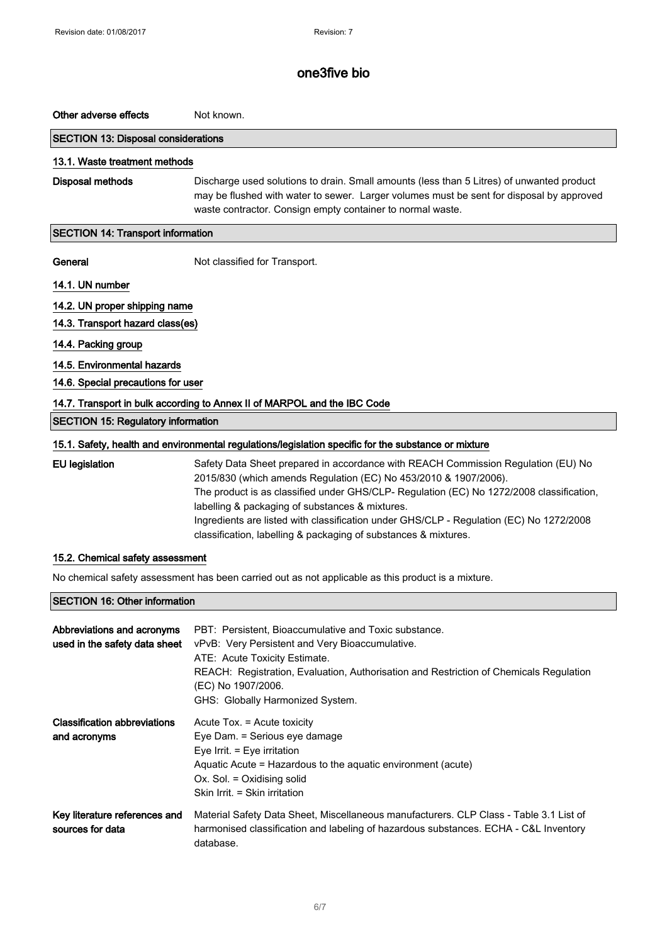## Other adverse effects Not known.

#### SECTION 13: Disposal considerations

### 13.1. Waste treatment methods

Disposal methods Discharge used solutions to drain. Small amounts (less than 5 Litres) of unwanted product may be flushed with water to sewer. Larger volumes must be sent for disposal by approved waste contractor. Consign empty container to normal waste.

#### SECTION 14: Transport information

General Mot classified for Transport.

#### 14.1. UN number

14.2. UN proper shipping name

## 14.3. Transport hazard class(es)

## 14.4. Packing group

## 14.5. Environmental hazards

14.6. Special precautions for user

### 14.7. Transport in bulk according to Annex II of MARPOL and the IBC Code

### SECTION 15: Regulatory information

### 15.1. Safety, health and environmental regulations/legislation specific for the substance or mixture

| EU legislation | Safety Data Sheet prepared in accordance with REACH Commission Regulation (EU) No        |
|----------------|------------------------------------------------------------------------------------------|
|                | 2015/830 (which amends Regulation (EC) No 453/2010 & 1907/2006).                         |
|                | The product is as classified under GHS/CLP- Regulation (EC) No 1272/2008 classification, |
|                | labelling & packaging of substances & mixtures.                                          |
|                | Ingredients are listed with classification under GHS/CLP - Regulation (EC) No 1272/2008  |
|                | classification, labelling & packaging of substances & mixtures.                          |

### 15.2. Chemical safety assessment

No chemical safety assessment has been carried out as not applicable as this product is a mixture.

## SECTION 16: Other information

| Abbreviations and acronyms<br>used in the safety data sheet | PBT: Persistent, Bioaccumulative and Toxic substance.<br>vPvB: Very Persistent and Very Bioaccumulative.<br>ATE: Acute Toxicity Estimate.<br>REACH: Registration, Evaluation, Authorisation and Restriction of Chemicals Regulation<br>(EC) No 1907/2006.<br>GHS: Globally Harmonized System. |
|-------------------------------------------------------------|-----------------------------------------------------------------------------------------------------------------------------------------------------------------------------------------------------------------------------------------------------------------------------------------------|
| <b>Classification abbreviations</b><br>and acronyms         | Acute Tox. = Acute toxicity<br>Eye Dam. = Serious eye damage<br>Eye Irrit. $=$ Eye irritation<br>Aquatic Acute = Hazardous to the aquatic environment (acute)<br>$Ox$ . Sol. = Oxidising solid<br>Skin Irrit. = Skin irritation                                                               |
| Key literature references and<br>sources for data           | Material Safety Data Sheet, Miscellaneous manufacturers. CLP Class - Table 3.1 List of<br>harmonised classification and labeling of hazardous substances. ECHA - C&L Inventory<br>database.                                                                                                   |